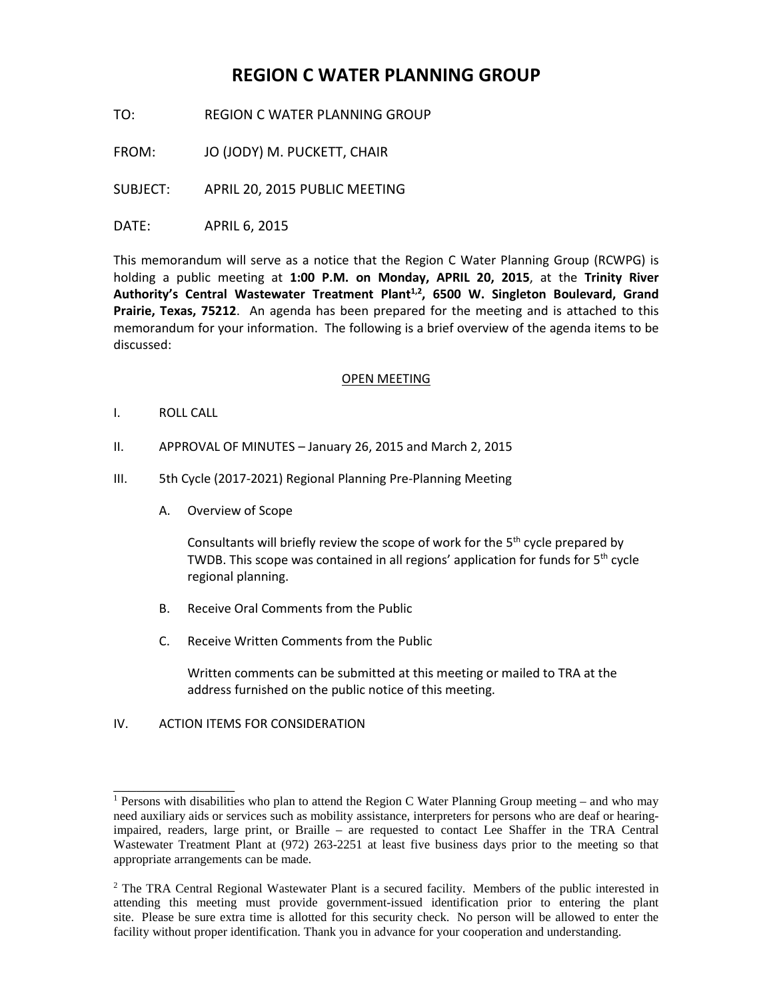# **REGION C WATER PLANNING GROUP**

TO: REGION C WATER PLANNING GROUP

FROM: JO (JODY) M. PUCKETT, CHAIR

SUBJECT: APRIL 20, 2015 PUBLIC MEETING

DATE: APRIL 6, 2015

This memorandum will serve as a notice that the Region C Water Planning Group (RCWPG) is holding a public meeting at **1:00 P.M. on Monday, APRIL 20, 2015**, at the **Trinity River**  Authority's Central Wastewater Treatment Plant<sup>1,2</sup>, 6500 W. Singleton Boulevard, Grand **Prairie, Texas, 75212**. An agenda has been prepared for the meeting and is attached to this memorandum for your information. The following is a brief overview of the agenda items to be discussed:

## OPEN MEETING

- I. ROLL CALL
- II. APPROVAL OF MINUTES January 26, 2015 and March 2, 2015
- III. 5th Cycle (2017-2021) Regional Planning Pre-Planning Meeting
	- A. Overview of Scope

Consultants will briefly review the scope of work for the 5<sup>th</sup> cycle prepared by TWDB. This scope was contained in all regions' application for funds for  $5<sup>th</sup>$  cycle regional planning.

- B. Receive Oral Comments from the Public
- C. Receive Written Comments from the Public

Written comments can be submitted at this meeting or mailed to TRA at the address furnished on the public notice of this meeting.

# IV. ACTION ITEMS FOR CONSIDERATION

\_\_\_\_\_\_\_\_\_\_\_\_\_\_\_\_

 $2$  The TRA Central Regional Wastewater Plant is a secured facility. Members of the public interested in attending this meeting must provide government-issued identification prior to entering the plant site. Please be sure extra time is allotted for this security check. No person will be allowed to enter the facility without proper identification. Thank you in advance for your cooperation and understanding.

<sup>&</sup>lt;sup>1</sup> Persons with disabilities who plan to attend the Region C Water Planning Group meeting – and who may need auxiliary aids or services such as mobility assistance, interpreters for persons who are deaf or hearingimpaired, readers, large print, or Braille – are requested to contact Lee Shaffer in the TRA Central Wastewater Treatment Plant at (972) 263-2251 at least five business days prior to the meeting so that appropriate arrangements can be made.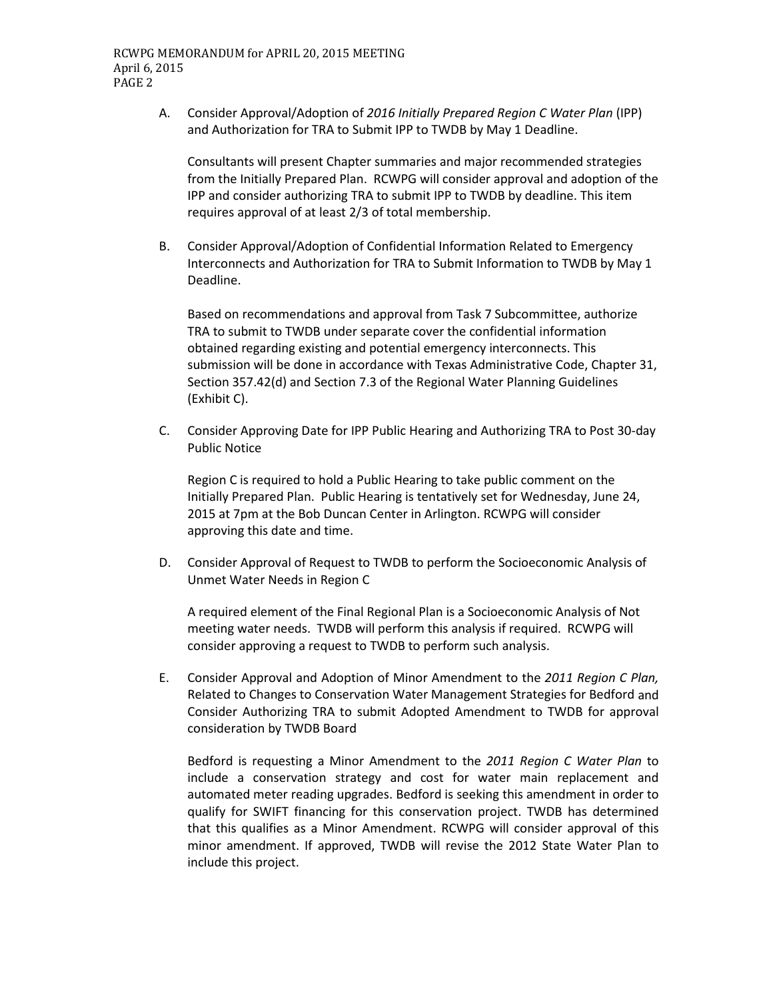A. Consider Approval/Adoption of *2016 Initially Prepared Region C Water Plan* (IPP) and Authorization for TRA to Submit IPP to TWDB by May 1 Deadline.

Consultants will present Chapter summaries and major recommended strategies from the Initially Prepared Plan. RCWPG will consider approval and adoption of the IPP and consider authorizing TRA to submit IPP to TWDB by deadline. This item requires approval of at least 2/3 of total membership.

B. Consider Approval/Adoption of Confidential Information Related to Emergency Interconnects and Authorization for TRA to Submit Information to TWDB by May 1 Deadline.

Based on recommendations and approval from Task 7 Subcommittee, authorize TRA to submit to TWDB under separate cover the confidential information obtained regarding existing and potential emergency interconnects. This submission will be done in accordance with Texas Administrative Code, Chapter 31, Section 357.42(d) and Section 7.3 of the Regional Water Planning Guidelines (Exhibit C).

C. Consider Approving Date for IPP Public Hearing and Authorizing TRA to Post 30-day Public Notice

Region C is required to hold a Public Hearing to take public comment on the Initially Prepared Plan. Public Hearing is tentatively set for Wednesday, June 24, 2015 at 7pm at the Bob Duncan Center in Arlington. RCWPG will consider approving this date and time.

D. Consider Approval of Request to TWDB to perform the Socioeconomic Analysis of Unmet Water Needs in Region C

A required element of the Final Regional Plan is a Socioeconomic Analysis of Not meeting water needs. TWDB will perform this analysis if required. RCWPG will consider approving a request to TWDB to perform such analysis.

E. Consider Approval and Adoption of Minor Amendment to the *2011 Region C Plan,*  Related to Changes to Conservation Water Management Strategies for Bedford and Consider Authorizing TRA to submit Adopted Amendment to TWDB for approval consideration by TWDB Board

Bedford is requesting a Minor Amendment to the *2011 Region C Water Plan* to include a conservation strategy and cost for water main replacement and automated meter reading upgrades. Bedford is seeking this amendment in order to qualify for SWIFT financing for this conservation project. TWDB has determined that this qualifies as a Minor Amendment. RCWPG will consider approval of this minor amendment. If approved, TWDB will revise the 2012 State Water Plan to include this project.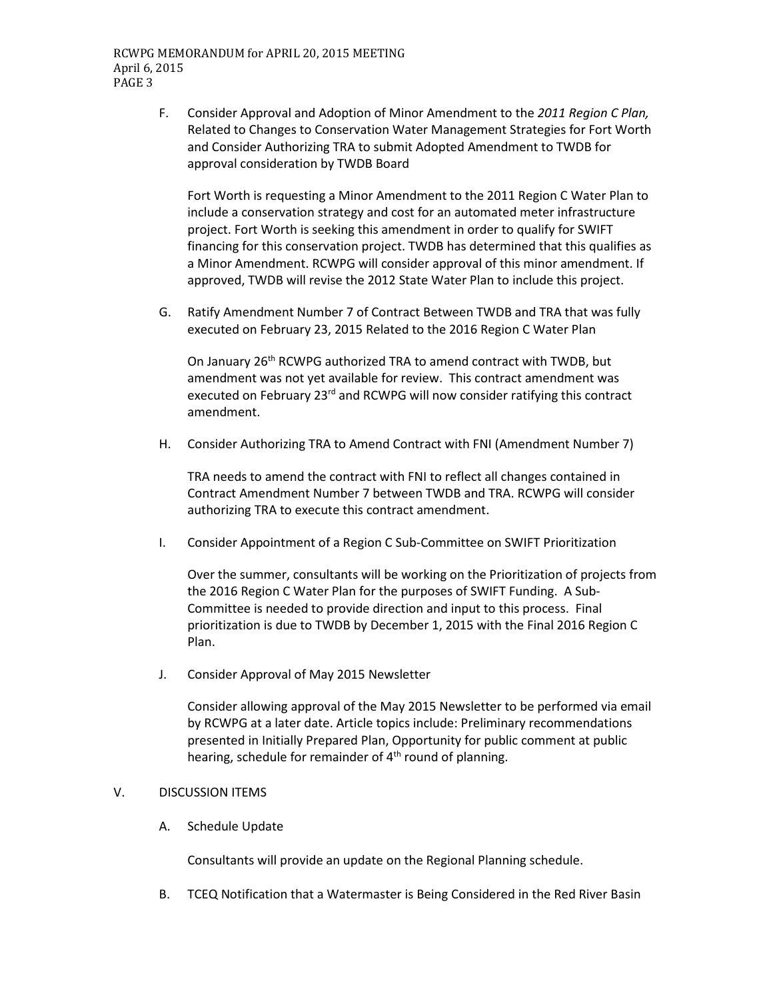F. Consider Approval and Adoption of Minor Amendment to the *2011 Region C Plan,*  Related to Changes to Conservation Water Management Strategies for Fort Worth and Consider Authorizing TRA to submit Adopted Amendment to TWDB for approval consideration by TWDB Board

Fort Worth is requesting a Minor Amendment to the 2011 Region C Water Plan to include a conservation strategy and cost for an automated meter infrastructure project. Fort Worth is seeking this amendment in order to qualify for SWIFT financing for this conservation project. TWDB has determined that this qualifies as a Minor Amendment. RCWPG will consider approval of this minor amendment. If approved, TWDB will revise the 2012 State Water Plan to include this project.

G. Ratify Amendment Number 7 of Contract Between TWDB and TRA that was fully executed on February 23, 2015 Related to the 2016 Region C Water Plan

On January 26<sup>th</sup> RCWPG authorized TRA to amend contract with TWDB, but amendment was not yet available for review. This contract amendment was executed on February 23<sup>rd</sup> and RCWPG will now consider ratifying this contract amendment.

H. Consider Authorizing TRA to Amend Contract with FNI (Amendment Number 7)

TRA needs to amend the contract with FNI to reflect all changes contained in Contract Amendment Number 7 between TWDB and TRA. RCWPG will consider authorizing TRA to execute this contract amendment.

I. Consider Appointment of a Region C Sub-Committee on SWIFT Prioritization

Over the summer, consultants will be working on the Prioritization of projects from the 2016 Region C Water Plan for the purposes of SWIFT Funding. A Sub-Committee is needed to provide direction and input to this process. Final prioritization is due to TWDB by December 1, 2015 with the Final 2016 Region C Plan.

J. Consider Approval of May 2015 Newsletter

Consider allowing approval of the May 2015 Newsletter to be performed via email by RCWPG at a later date. Article topics include: Preliminary recommendations presented in Initially Prepared Plan, Opportunity for public comment at public hearing, schedule for remainder of  $4<sup>th</sup>$  round of planning.

#### V. DISCUSSION ITEMS

A. Schedule Update

Consultants will provide an update on the Regional Planning schedule.

B. TCEQ Notification that a Watermaster is Being Considered in the Red River Basin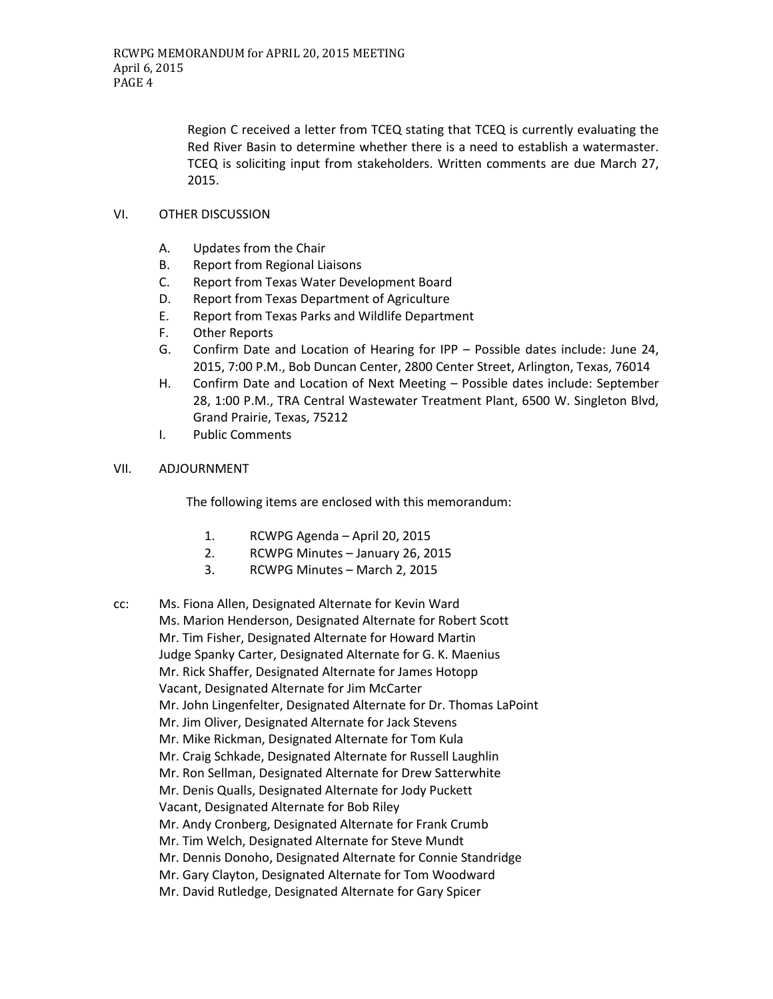Region C received a letter from TCEQ stating that TCEQ is currently evaluating the Red River Basin to determine whether there is a need to establish a watermaster. TCEQ is soliciting input from stakeholders. Written comments are due March 27, 2015.

# VI. OTHER DISCUSSION

- A. Updates from the Chair
- B. Report from Regional Liaisons
- C. Report from Texas Water Development Board
- D. Report from Texas Department of Agriculture
- E. Report from Texas Parks and Wildlife Department
- F. Other Reports
- G. Confirm Date and Location of Hearing for IPP Possible dates include: June 24, 2015, 7:00 P.M., Bob Duncan Center, 2800 Center Street, Arlington, Texas, 76014
- H. Confirm Date and Location of Next Meeting Possible dates include: September 28, 1:00 P.M., TRA Central Wastewater Treatment Plant, 6500 W. Singleton Blvd, Grand Prairie, Texas, 75212
- I. Public Comments

## VII. ADJOURNMENT

The following items are enclosed with this memorandum:

- 1. RCWPG Agenda April 20, 2015
- 2. RCWPG Minutes January 26, 2015
- 3. RCWPG Minutes March 2, 2015
- cc: Ms. Fiona Allen, Designated Alternate for Kevin Ward Ms. Marion Henderson, Designated Alternate for Robert Scott Mr. Tim Fisher, Designated Alternate for Howard Martin Judge Spanky Carter, Designated Alternate for G. K. Maenius Mr. Rick Shaffer, Designated Alternate for James Hotopp Vacant, Designated Alternate for Jim McCarter Mr. John Lingenfelter, Designated Alternate for Dr. Thomas LaPoint Mr. Jim Oliver, Designated Alternate for Jack Stevens Mr. Mike Rickman, Designated Alternate for Tom Kula Mr. Craig Schkade, Designated Alternate for Russell Laughlin Mr. Ron Sellman, Designated Alternate for Drew Satterwhite Mr. Denis Qualls, Designated Alternate for Jody Puckett Vacant, Designated Alternate for Bob Riley Mr. Andy Cronberg, Designated Alternate for Frank Crumb Mr. Tim Welch, Designated Alternate for Steve Mundt Mr. Dennis Donoho, Designated Alternate for Connie Standridge Mr. Gary Clayton, Designated Alternate for Tom Woodward Mr. David Rutledge, Designated Alternate for Gary Spicer